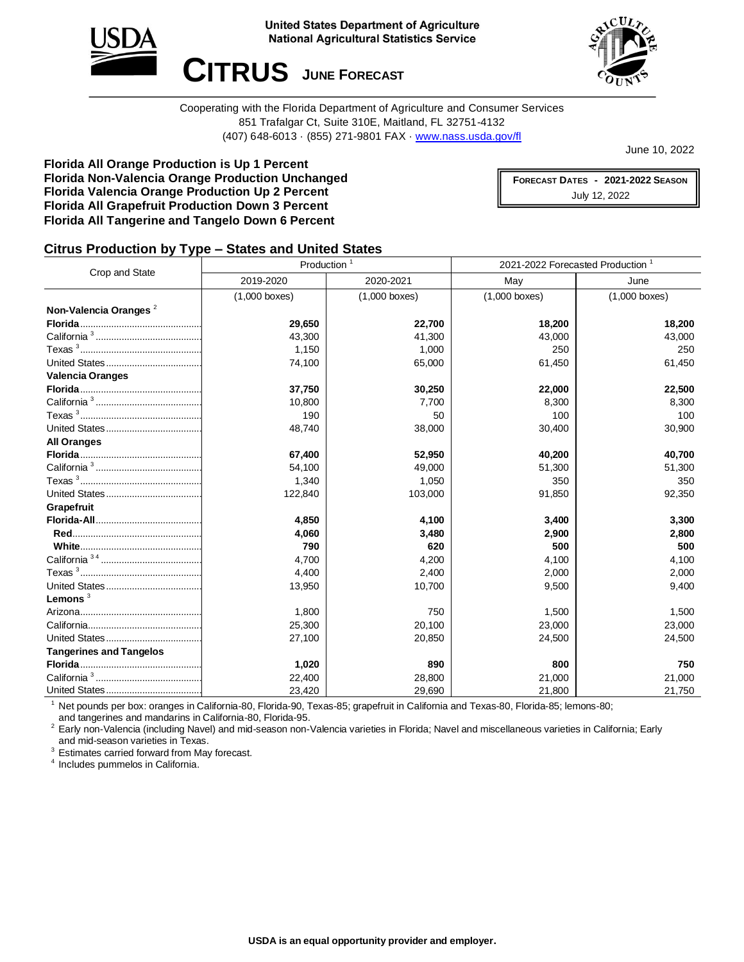



Cooperating with the Florida Department of Agriculture and Consumer Services 851 Trafalgar Ct, Suite 310E, Maitland, FL 32751-4132 (407) 648-6013 · (855) 271-9801 FAX · [www.nass.usda.gov/fl](http://www.nass.usda.gov/fl)

June 10, 2022

**Florida All Orange Production is Up 1 Percent Florida Non-Valencia Orange Production Unchanged Florida Valencia Orange Production Up 2 Percent Florida All Grapefruit Production Down 3 Percent Florida All Tangerine and Tangelo Down 6 Percent**

**FORECAST DATES - 2021-2022 SEASON** July 12, 2022

## **Citrus Production by Type – States and United States**

| Crop and State                    | Production <sup>1</sup> |                 | 2021-2022 Forecasted Production <sup>1</sup> |                 |
|-----------------------------------|-------------------------|-----------------|----------------------------------------------|-----------------|
|                                   | 2019-2020               | 2020-2021       | May                                          | June            |
|                                   | $(1,000$ boxes)         | $(1,000$ boxes) | $(1,000$ boxes)                              | $(1,000$ boxes) |
| Non-Valencia Oranges <sup>2</sup> |                         |                 |                                              |                 |
|                                   | 29,650                  | 22,700          | 18,200                                       | 18,200          |
|                                   | 43,300                  | 41,300          | 43,000                                       | 43,000          |
|                                   | 1,150                   | 1,000           | 250                                          | 250             |
|                                   | 74,100                  | 65,000          | 61,450                                       | 61,450          |
| <b>Valencia Oranges</b>           |                         |                 |                                              |                 |
|                                   | 37,750                  | 30,250          | 22,000                                       | 22,500          |
|                                   | 10,800                  | 7,700           | 8,300                                        | 8,300           |
|                                   | 190                     | 50              | 100                                          | 100             |
|                                   | 48,740                  | 38,000          | 30,400                                       | 30,900          |
| <b>All Oranges</b>                |                         |                 |                                              |                 |
|                                   | 67,400                  | 52,950          | 40,200                                       | 40,700          |
|                                   | 54,100                  | 49,000          | 51,300                                       | 51,300          |
|                                   | 1,340                   | 1,050           | 350                                          | 350             |
|                                   | 122,840                 | 103,000         | 91,850                                       | 92,350          |
| Grapefruit                        |                         |                 |                                              |                 |
|                                   | 4,850                   | 4,100           | 3,400                                        | 3,300           |
|                                   | 4,060                   | 3,480           | 2,900                                        | 2,800           |
|                                   | 790                     | 620             | 500                                          | 500             |
|                                   | 4,700                   | 4,200           | 4,100                                        | 4,100           |
|                                   | 4,400                   | 2,400           | 2,000                                        | 2,000           |
|                                   | 13,950                  | 10,700          | 9,500                                        | 9,400           |
| Lemons <sup>3</sup>               |                         |                 |                                              |                 |
|                                   | 1,800                   | 750             | 1,500                                        | 1,500           |
|                                   | 25,300                  | 20,100          | 23,000                                       | 23,000          |
|                                   | 27,100                  | 20,850          | 24,500                                       | 24,500          |
| <b>Tangerines and Tangelos</b>    |                         |                 |                                              |                 |
|                                   | 1,020                   | 890             | 800                                          | 750             |
|                                   | 22,400                  | 28,800          | 21,000                                       | 21,000          |
|                                   | 23,420                  | 29,690          | 21,800                                       | 21,750          |

<sup>1</sup> Net pounds per box: oranges in California-80, Florida-90, Texas-85; grapefruit in California and Texas-80, Florida-85; lemons-80; and tangerines and mandarins in California-80, Florida-95.

<sup>2</sup> Early non-Valencia (including Navel) and mid-season non-Valencia varieties in Florida; Navel and miscellaneous varieties in California; Early and mid-season varieties in Texas.

<sup>3</sup> Estimates carried forward from May forecast.

4 Includes pummelos in California.